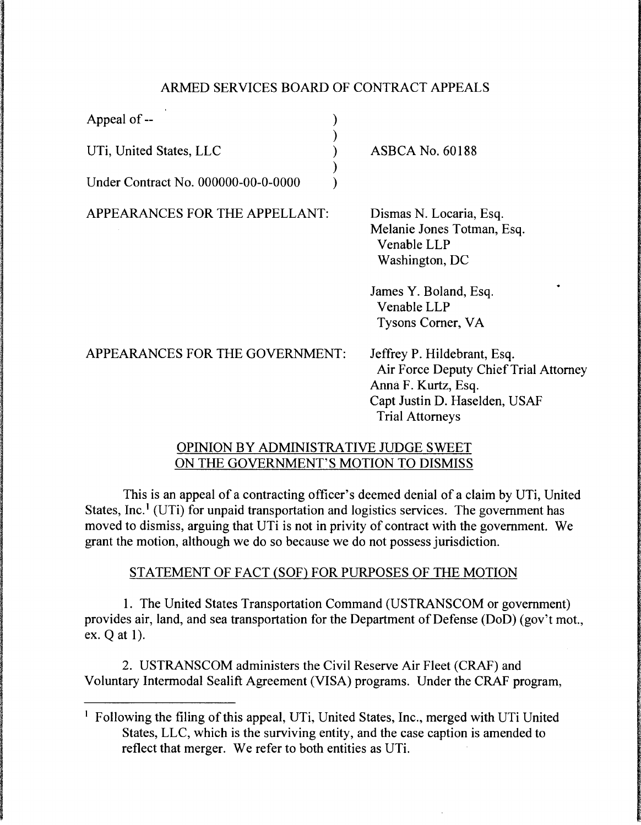# ARMED SERVICES BOARD OF CONTRACT APPEALS

) ) ) ) )

Appeal of --

UTi, United States, LLC

Under Contract No. 000000-00-0-0000

APPEARANCES FOR THE APPELLANT:

ASBCA No. 60188

Dismas N. Locaria, Esq. Melanie Jones Totman, Esq. Venable LLP Washington, DC

James Y. Boland, Esq. Venable LLP Tysons Comer, VA

APPEARANCES FOR THE GOVERNMENT: Jeffrey P. Hildebrant, Esq. Air Force Deputy Chief Trial Attorney Anna F. Kurtz, Esq. Capt Justin D. Haselden, USAF Trial Attorneys

## OPINION BY ADMINISTRATIVE JUDGE SWEET ON THE GOVERNMENT'S MOTION TO DISMISS

This is an appeal of a contracting officer's deemed denial of a claim by UTi, United States, Inc.<sup>1</sup> (UTi) for unpaid transportation and logistics services. The government has moved to dismiss, arguing that UTi is not in privity of contract with the government. We grant the motion, although we do so because we do not possess jurisdiction.

## STATEMENT OF FACT (SOF) FOR PURPOSES OF THE MOTION

1. The United States Transportation Command (USTRANSCOM or government) provides air, land, and sea transportation for the Department of Defense (DoD) (gov't mot., ex. Q at 1).

2. USTRANSCOM administers the Civil Reserve Air Fleet (CRAF) and Voluntary Intermodal Sealift Agreement (VISA) programs. Under the CRAF program,

<sup>&</sup>lt;sup>1</sup> Following the filing of this appeal, UTi, United States, Inc., merged with UTi United States, LLC, which is the surviving entity, and the case caption is amended to reflect that merger. We refer to both entities as UTi.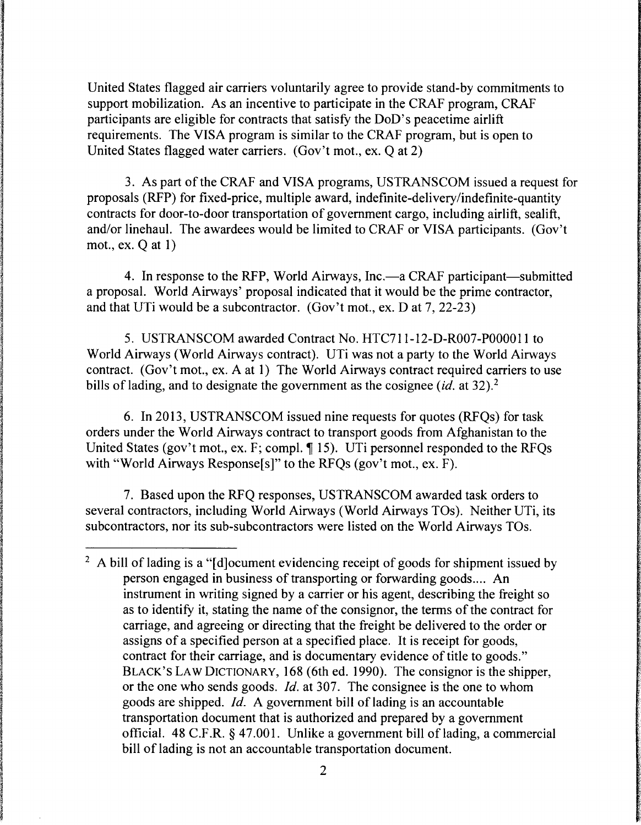United States flagged air carriers voluntarily agree to provide stand-by commitments to support mobilization. As an incentive to participate in the CRAF program, CRAF participants are eligible for contracts that satisfy the DoD's peacetime airlift requirements. The VISA program is similar to the CRAF program, but is open to United States flagged water carriers. (Gov't mot., ex. Q at 2)

3. As part of the CRAF and VISA programs, USTRANSCOM issued a request for proposals (RFP) for fixed-price, multiple award, indefinite-delivery/indefinite-quantity contracts for door-to-door transportation of government cargo, including airlift, sealift, and/or linehaul. The awardees would be limited to CRAF or VISA participants. (Gov't mot., ex. Q at 1)

4. In response to the RFP, World Airways, Inc.—a CRAF participant—submitted a proposal. World Airways' proposal indicated that it would be the prime contractor, and that UTi would be a subcontractor. (Gov't mot., ex. D at 7, 22-23)

5. USTRANSCOM awarded Contract No. HTC711-12-D-R007-P00001 l to World Airways (World Airways contract). UTi was not a party to the World Airways contract. (Gov't mot., ex. A at 1) The World Airways contract required carriers to use bills of lading, and to designate the government as the cosignee *(id.* at 32).<sup>2</sup>

6. In 2013, USTRANSCOM issued nine requests for quotes (RFQs) for task orders under the World Airways contract to transport goods from Afghanistan to the United States (gov't mot., ex. F; compl.  $\P$  15). UTi personnel responded to the RFQs with "World Airways Response<sup>[s]"</sup> to the RFQs (gov't mot., ex. F).

7. Based upon the RFQ responses, USTRANSCOM awarded task orders to several contractors, including World Airways (World Airways TOs). Neither UTi, its subcontractors, nor its sub-subcontractors were listed on the World Airways TOs.

<sup>&</sup>lt;sup>2</sup> A bill of lading is a "[d]ocument evidencing receipt of goods for shipment issued by person engaged in business of transporting or forwarding goods.... An instrument in writing signed by a carrier or his agent, describing the freight so as to identify it, stating the name of the consignor, the terms of the contract for carriage, and agreeing or directing that the freight be delivered to the order or assigns of a specified person at a specified place. It is receipt for goods, contract for their carriage, and is documentary evidence of title to goods." BLACK'S LAW DICTIONARY, 168 (6th ed. 1990). The consignor is the shipper, or the one who sends goods. *Id.* at 307. The consignee is the one to whom goods are shipped. *Id.* A government bill of lading is an accountable transportation document that is authorized and prepared by a government official. 48 C.F .R. § 47.001. Unlike a government bill of lading, a commercial bill of lading is not an accountable transportation document.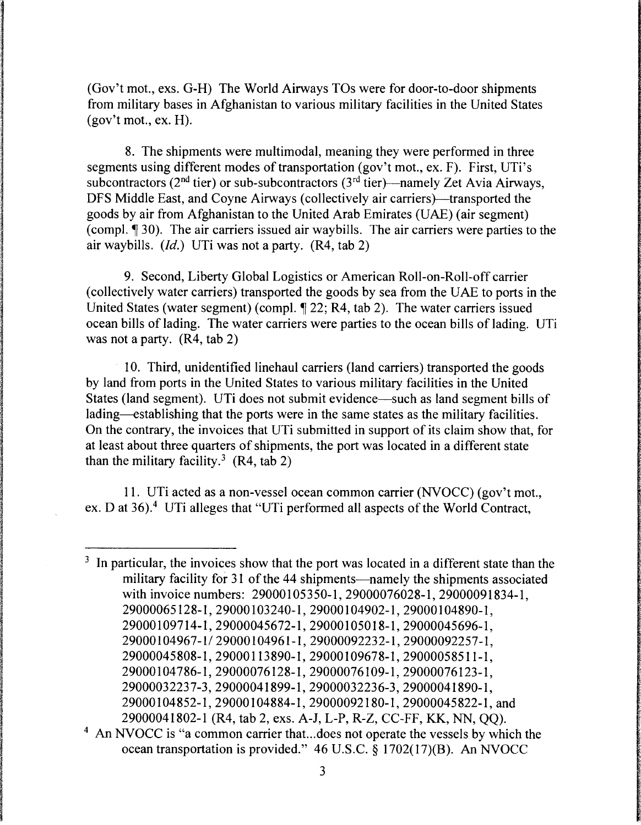(Gov't mot., exs. G-H) The World Airways TOs were for door-to-door shipments from military bases in Afghanistan to various military facilities in the United States (gov't mot., ex. H).

8. The shipments were multimodal, meaning they were performed in three segments using different modes of transportation (gov't mot., ex. F). First, UTi's subcontractors ( $2<sup>nd</sup>$  tier) or sub-subcontractors ( $3<sup>rd</sup>$  tier)—namely Zet Avia Airways, DFS Middle East, and Coyne Airways (collectively air carriers)—transported the goods by air from Afghanistan to the United Arab Emirates (UAE) (air segment) (compl.  $\P$  30). The air carriers issued air way bills. The air carriers were parties to the air waybills. *(Id.)* UTi was not a party. (R4, tab 2)

9. Second, Liberty Global Logistics or American Roll-on-Roll-off carrier (collectively water carriers) transported the goods by sea from the UAE to ports in the United States (water segment) (compl.  $\P$  22; R4, tab 2). The water carriers issued ocean bills of lading. The water carriers were parties to the ocean bills of lading. UTi was not a party. (R4, tab 2)

10. Third, unidentified linehaul carriers (land carriers) transported the goods by land from ports in the United States to various military facilities in the United States (land segment). UTi does not submit evidence—such as land segment bills of lading—establishing that the ports were in the same states as the military facilities. On the contrary, the invoices that UTi submitted in support of its claim show that, for at least about three quarters of shipments, the port was located in a different state than the military facility.<sup>3</sup> (R4, tab 2)

11. UTi acted as a non-vessel ocean common carrier (NVOCC) (gov't mot., ex. D at 36).<sup>4</sup> UTi alleges that "UTi performed all aspects of the World Contract,

- <sup>3</sup> In particular, the invoices show that the port was located in a different state than the military facility for 31 of the 44 shipments—namely the shipments associated with invoice numbers: 29000105350-1, 29000076028-1, 29000091834-1, 29000065128-l,29000103240-1,29000104902-1,29000104890-1, 29000109714-1,29000045672-1,29000105018-l,29000045696-1, 29000104967-l/29000104961-1,29000092232-1,29000092257-1, 29000045808-1,29000113890-1,29000109678-1,29000058511-1, 29000104786-1,29000076128-1,29000076109-1,29000076123-1, 29000032237-3,29000041899-1,29000032236-3,29000041890-l, 29000104852-l,29000104884-1,29000092180-l,29000045822-1,and 29000041802-1 (R4, tab 2, exs. A-J, L-P, R-Z, CC-FF, KK, NN, QQ).
- <sup>4</sup> An NVOCC is "a common carrier that...does not operate the vessels by which the ocean transportation is provided." 46 U.S.C. § 1702(17)(B). An NVOCC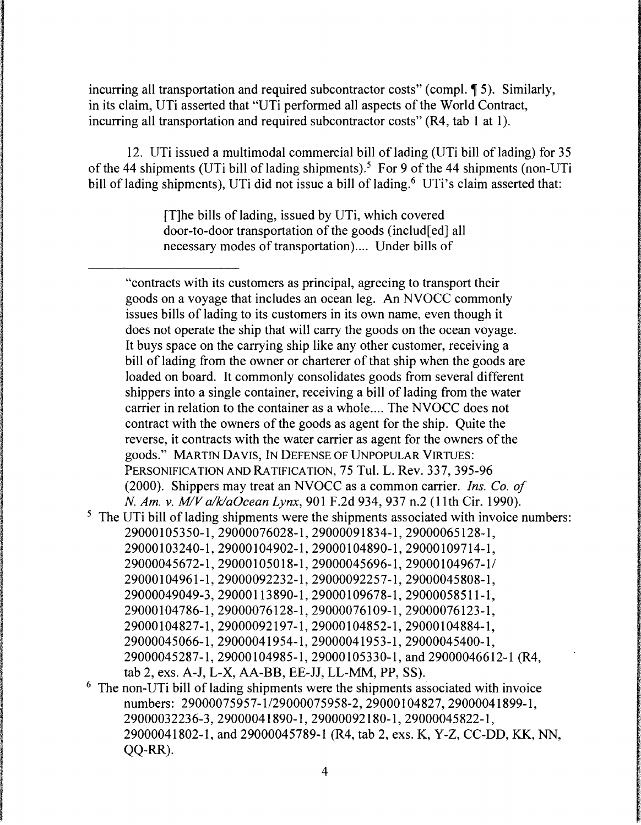incurring all transportation and required subcontractor costs" (compl.  $\llbracket 5$ ). Similarly, in its claim, UTi asserted that "UTi performed all aspects of the World Contract, incurring all transportation and required subcontractor costs" (R4, tab 1 at 1).

12. UTi issued a multimodal commercial bill of lading (UTi bill of lading) for 35 of the 44 shipments (UTi bill of lading shipments).<sup>5</sup> For 9 of the 44 shipments (non-UTi bill of lading shipments), UTi did not issue a bill of lading.<sup>6</sup> UTi's claim asserted that:

> [T]he bills of lading, issued by UTi, which covered door-to-door transportation of the goods ( includ[ ed] all necessary modes of transportation).... Under bills of

"contracts with its customers as principal, agreeing to transport their goods on a voyage that includes an ocean leg. An NVOCC commonly issues bills of lading to its customers in its own name, even though it does not operate the ship that will carry the goods on the ocean voyage. It buys space on the carrying ship like any other customer, receiving a bill of lading from the owner or charterer of that ship when the goods are loaded on board. It commonly consolidates goods from several different shippers into a single container, receiving a bill of lading from the water carrier in relation to the container as a whole.... The NVOCC does not contract with the owners of the goods as agent for the ship. Quite the reverse, it contracts with the water carrier as agent for the owners of the goods." MARTIN DA VIS, IN DEFENSE OF UNPOPULAR VIRTUES: PERSONIFICATION AND RATIFICATION, 75 Tul. L. Rev. 337, 395-96 (2000). Shippers may treat an NVOCC as a common carrier. *Ins. Co. of N. Am. v. M!Va/klaOcean Lynx,* 901F.2d934, 937 n.2 (11th Cir. 1990).

- <sup>5</sup> The UTi bill of lading shipments were the shipments associated with invoice numbers: 29000105350-1,29000076028-1,29000091834-1,29000065128-l, 29000103240-1,29000104902-1,29000104890-1,29000109714-1, 29000045672-1,29000105018-1,29000045696-1,29000104967-l/ 29000104961-1,29000092232-1,29000092257-l,29000045808-1, 29000049049-3,29000113890-1,29000109678-1,29000058511-1, 29000104786-1,29000076128-l,29000076109-1,29000076123-1, 29000104827-1,29000092197-1,29000104852-1,29000104884-1, 29000045066-1,29000041954-1,29000041953-1,29000045400-1, 29000045287-1,29000104985-1,29000105330-l,and29000046612-1 (R4, tab 2, exs. A-J, L-X, AA-BB, EE-JJ, LL-MM, PP, SS).
- 6 The non-UTi bill of lading shipments were the shipments associated with invoice numbers: 29000075957-1/29000075958-2, 29000104827, 29000041899-1, 29000032236-3,29000041890-1,29000092180-1,29000045822-l, 29000041802-1, and 29000045789-1 (R4, tab 2, exs. K, Y-Z, CC-DD, KK, NN, QQ-RR).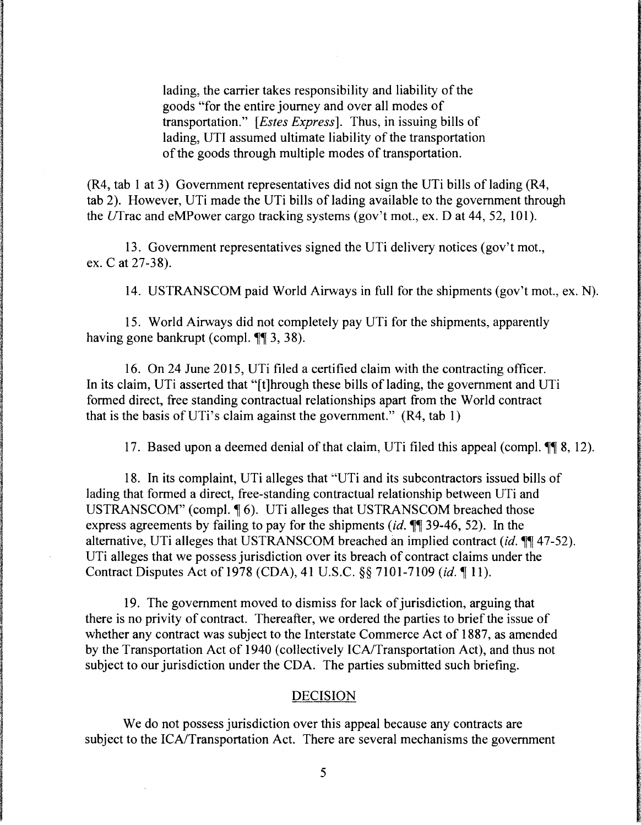lading, the carrier takes responsibility and liability of the goods "for the entire journey and over all modes of transportation." *[Estes Express].* Thus, in issuing bills of lading, UTI assumed ultimate liability of the transportation of the goods through multiple modes of transportation.

 $(R4, tab 1 at 3)$  Government representatives did not sign the UTi bills of lading  $(R4,$ tab 2). However, UTi made the UTi bills of lading available to the government through the Ufrac and eMPower cargo tracking systems (gov't mot., ex. D at 44, 52, 101).

13. Government representatives signed the UTi delivery notices (gov't mot., ex.Cat 27-38).

14. USTRANSCOM paid World Airways in full for the shipments (gov't mot., ex. N).

15. World Airways did not completely pay UTi for the shipments, apparently having gone bankrupt (compl.  $\P$  $\left( 3, 38 \right)$ .

16. On 24 June 2015, UTi filed a certified claim with the contracting officer. In its claim, UTi asserted that "[t]hrough these bills of lading, the government and UTi formed direct, free standing contractual relationships apart from the World contract that is the basis of UTi's claim against the government."  $(R4, tab 1)$ 

17. Based upon a deemed denial of that claim, UTi filed this appeal (compl.  $\P\P$  8, 12).

18. In its complaint, UTi alleges that "UTi and its subcontractors issued bills of lading that formed a direct, free-standing contractual relationship between UTi and USTRANSCOM" (compl.  $\P$  6). UTi alleges that USTRANSCOM breached those express agreements by failing to pay for the shipments *(id.*  $\mathbb{I}$  39-46, 52). In the alternative, UTi alleges that USTRANSCOM breached an implied contract *(id.*  $\mathbb{I}$  47-52). UTi alleges that we possess jurisdiction over its breach of contract claims under the Contract Disputes Act of 1978 *(CDA)*, 41 U.S.C. §§ 7101-7109 *(id.* 11).

19. The government moved to dismiss for lack of jurisdiction, arguing that there is no privity of contract. Thereafter, we ordered the parties to brief the issue of whether any contract was subject to the Interstate Commerce Act of 1887, as amended by the Transportation Act of 1940 (collectively ICA/Transportation Act), and thus not subject to our jurisdiction under the CDA. The parties submitted such briefing.

#### DECISION

We do not possess jurisdiction over this appeal because any contracts are subject to the ICA/Transportation Act. There are several mechanisms the government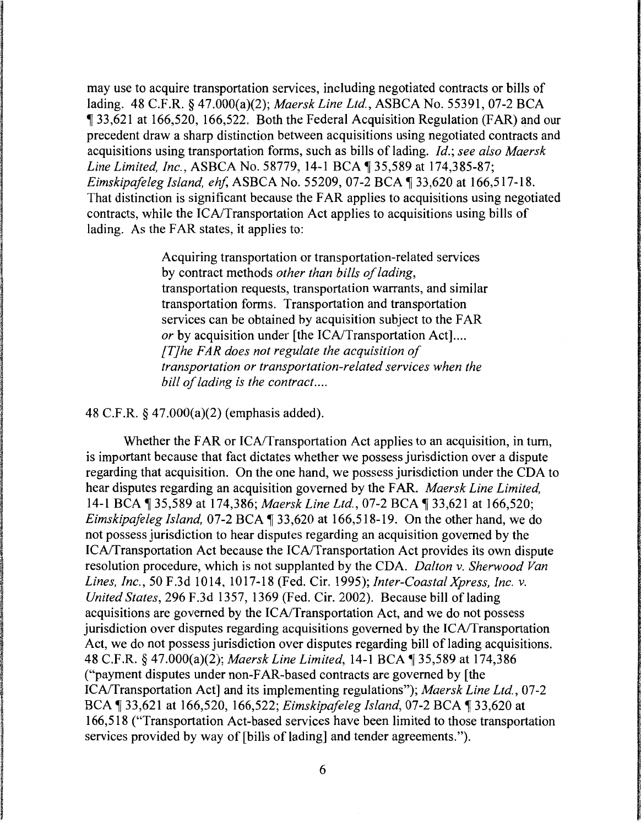may use to acquire transportation services, including negotiated contracts or bills of lading. 48 C.F.R. § 47.000(a)(2); *Maersk Line Ltd.,* ASBCA No. 55391, 07-2 BCA 133,621 at 166,520, 166,522. Both the Federal Acquisition Regulation (FAR) and our precedent draw a sharp distinction between acquisitions using negotiated contracts and acquisitions using transportation forms, such as bills of lading. *Id.; see also Maersk Line Limited, Inc., ASBCA No.* 58779, 14-1 BCA ¶ 35,589 at 174,385-87; *Eimskipafeleg Island, ehf, ASBCA No.* 55209, 07-2 BCA ¶ 33.620 at 166.517-18. That distinction is significant because the FAR applies to acquisitions using negotiated contracts, while the ICA/Transportation Act applies to acquisitions using bills of lading. As the FAR states, it applies to:

> Acquiring transportation or transportation-related services by contract methods *other than bills of lading,*  transportation requests, transportation warrants, and similar transportation forms. Transportation and transportation services can be obtained by acquisition subject to the FAR *or* by acquisition under [the ICA/Transportation Act].... *[T] he FAR does not regulate the acquisition of transportation or transportation-related services when the bill of lading is the contract ....*

48 C.F.R. § 47.000(a)(2) (emphasis added).

Whether the FAR or ICA/Transportation Act applies to an acquisition, in turn, is important because that fact dictates whether we possess jurisdiction over a dispute regarding that acquisition. On the one hand, we possess jurisdiction under the CDA to hear disputes regarding an acquisition governed by the FAR. *Maersk Line Limited,*  14-1 BCA 135,589 at 174,386; *Maersk Line Ltd.*, 07-2 BCA 133,621 at 166,520; *Eimskipafeleg Island, 07-2 BCA* 133,620 at 166,518-19. On the other hand, we do not possess jurisdiction to hear disputes regarding an acquisition governed by the !CA/Transportation Act because the !CA/Transportation Act provides its own dispute resolution procedure, which is not supplanted by the CDA. *Dalton v. Sherwood Van Lines, Inc.,* 50 F.3d 1014, 1017-18 (Fed. Cir. 1995); *Inter-Coastal Xpress, Inc. v. United States,* 296 F.3d 1357, 1369 (Fed. Cir. 2002). Because bill oflading acquisitions are governed by the !CA/Transportation Act, and we do not possess jurisdiction over disputes regarding acquisitions governed by the !CA/Transportation Act, we do not possess jurisdiction over disputes regarding bill of lading acquisitions. 48 C.F.R. § 47.000(a)(2); *Maersk Line Limited*, 14-1 BCA ¶ 35,589 at 174,386 ("payment disputes under non-FAR-based contracts are governed by [the !CA/Transportation Act] and its implementing regulations"); *Maersk Line Ltd.,* 07-2 BCA ¶ 33,621 at 166,520, 166,522; *Eimskipafeleg Island*, 07-2 BCA ¶ 33,620 at 166,518 ("Transportation Act-based services have been limited to those transportation services provided by way of [bills of lading] and tender agreements.").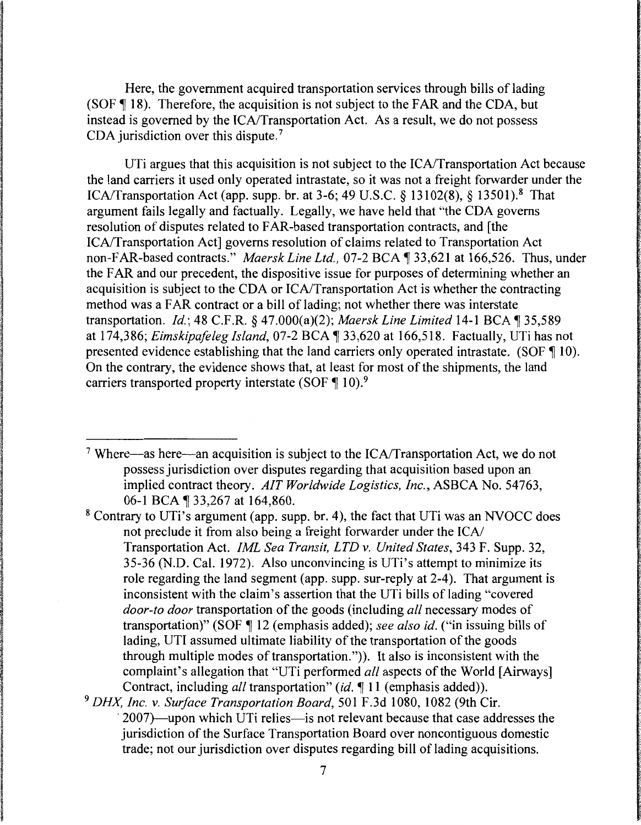Here, the government acquired transportation services through bills of lading  $(SOF  $\parallel$  18)$ . Therefore, the acquisition is not subject to the FAR and the CDA, but instead is governed by the ICA/Transportation Act. As a result, we do not possess CDA jurisdiction over this dispute.<sup>7</sup>

UTi argues that this acquisition is not subject to the ICA/Transportation Act because the land carriers it used only operated intrastate, so it was not a freight forwarder under the !CA/Transportation Act (app. supp. br. at 3-6; 49 U.S.C. § 13102(8), § 13501).8 That argument fails legally and factually. Legally, we have held that "the CDA governs resolution of disputes related to FAR-based transportation contracts, and [the I CA/Transportation Act] governs resolution of claims related to Transportation Act non-FAR-based contracts." *Maersk Line Ltd.*, 07-2 BCA ¶ 33.621 at 166.526. Thus, under the FAR and our precedent, the dispositive issue for purposes of determining whether an acquisition is subject to the CDA or !CA/Transportation Act is whether the contracting method was a FAR contract or a bill of lading; not whether there was interstate transportation. *Id.*; 48 C.F.R. *§* 47.000(a)(2); *Maersk Line Limited* 14-1 BCA ¶ 35.589 at 174,386; *Eimskipafeleg Island,* 07-2 BCA ~ 33,620 at 166,518. Factually, UTi has not presented evidence establishing that the land carriers only operated intrastate. (SOF  $\P$  10). On the contrary, the evidence shows that, at least for most of the shipments, the land carriers transported property interstate (SOF  $\P$  10).<sup>9</sup>

<sup>7</sup> Where—as here—an acquisition is subject to the  $ICA/Transportation$  Act, we do not possess jurisdiction over disputes regarding that acquisition based upon an implied contract theory. *AIT Worldwide Logistics, Inc.,* ASBCA No. 54763, 06-1 BCA ¶ 33,267 at 164,860.

8 Contrary to UTi's argument (app. supp. br. 4), the fact that UTi was an NVOCC does not preclude it from also being a freight forwarder under the ICA/ Transportation Act. *!ML Sea Transit, LTD v. United States,* 343 F. Supp. 32, 35-36 (N.D. Cal. 1972). Also unconvincing is UTi's attempt to minimize its role regarding the land segment (app. supp. sur-reply at  $2-4$ ). That argument is inconsistent with the claim's assertion that the UTi bills of lading "covered *door-to door* transportation of the goods (including *all* necessary modes of transportation)" (SOF ~ 12 (emphasis added); *see also id.* ("in issuing bills of lading, UTI assumed ultimate liability of the transportation of the goods through multiple modes of transportation.")). It also is inconsistent with the complaint's allegation that "UTi performed *all* aspects of the World [Airways] Contract, including *all* transportation" *(id.* 11 (emphasis added)).

<sup>9</sup>*DHX, Inc. v. Surface Transportation Board,* 501 F .3d 1080, 1082 (9th Cir.  $2007$ —upon which UTi relies—is not relevant because that case addresses the jurisdiction of the Surface Transportation Board over noncontiguous domestic trade; not our jurisdiction over disputes regarding bill of lading acquisitions.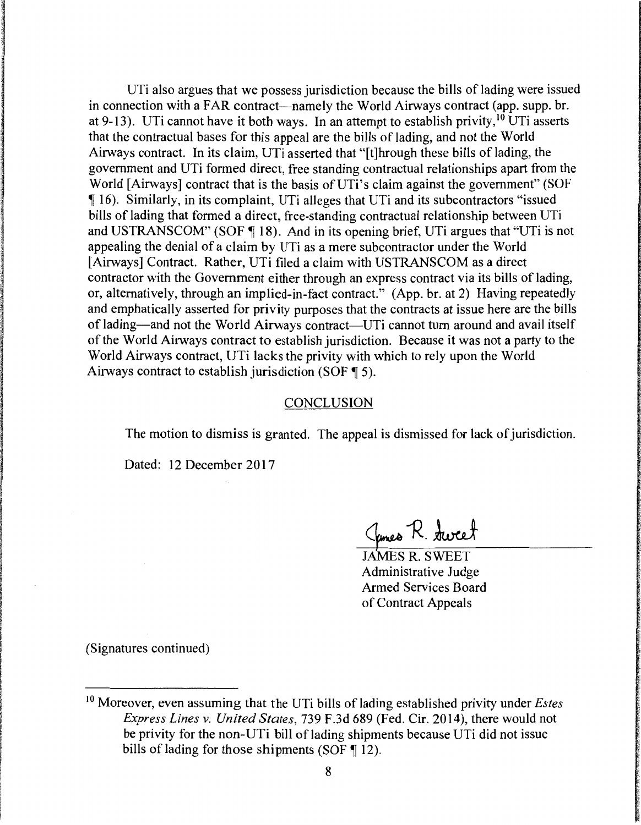UTi also argues that we possess jurisdiction because the bills of lading were issued in connection with a FAR contract—namely the World Airways contract (app. supp. br. at 9-13). UTi cannot have it both ways. In an attempt to establish privity,  $10$  UTi asserts that the contractual bases for this appeal are the bills of lading, and not the World Airways contract. In its claim, UTi asserted that "[t]hrough these bills of lading, the government and UTi formed direct, free standing contractual relationships apart from the World [Airways] contract that is the basis of UTi's claim against the government" (SOF 16). Similarly, in its complaint, UTi alleges that UTi and its subcontractors "issued bills of lading that formed a direct, free-standing contractual relationship between UTi and USTRANSCOM" (SOF  $\P$  18). And in its opening brief, UTi argues that "UTi is not appealing the denial of a claim by UTi as a mere subcontractor under the World [Airways] Contract. Rather, UTi filed a claim with USTRANSCOM as a direct contractor with the Government either through an express contract via its bills of lading, or, alternatively, through an implied-in-fact contract." (App. hr. at 2) Having repeatedly and emphatically asserted for privity purposes that the contracts at issue here are the bills of lading—and not the World Airways contract—UTi cannot turn around and avail itself of the World Airways contract to establish jurisdiction. Because it was not a party to the World Airways contract, UTi lacks the privity with which to rely upon the World Airways contract to establish jurisdiction (SOF  $\P$  5).

#### CONCLUSION

The motion to dismiss is granted. The appeal is dismissed for lack of jurisdiction.

Dated: 12 December 2017

James R. Aweet

JAMES R. SWEET Administrative Judge Armed Services Board of Contract Appeals

(Signatures continued)

<sup>&</sup>lt;sup>10</sup> Moreover, even assuming that the UTi bills of lading established privity under *Estes Express Lines v. United States,* 739 F.3d 689 (Fed. Cir. 2014), there would not be privity for the non-UTi bill of lading shipments because UTi did not issue bills of lading for those shipments (SOF  $\P$  12).